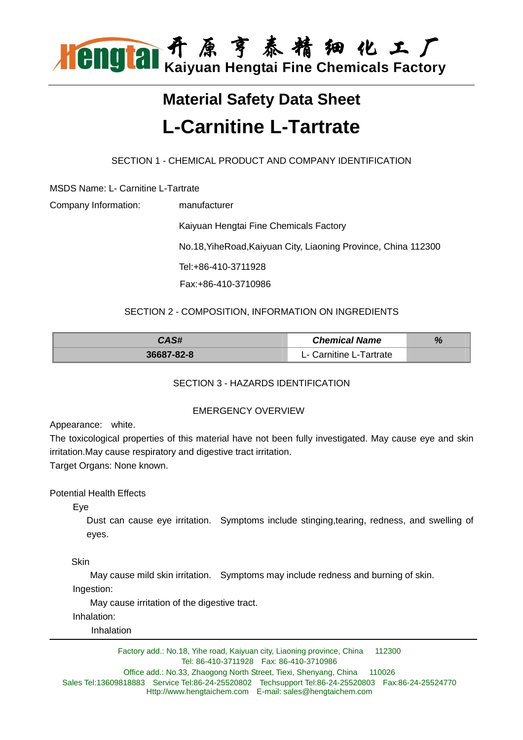

# **Material Safety Data Sheet L-Carnitine L-Tartrate**

SECTION 1 - CHEMICAL PRODUCT AND COMPANY IDENTIFICATION

MSDS Name: L- Carnitine L-Tartrate

| Company Information: | manufacturer                                                   |
|----------------------|----------------------------------------------------------------|
|                      | Kaiyuan Hengtai Fine Chemicals Factory                         |
|                      | No.18, YiheRoad, Kaiyuan City, Liaoning Province, China 112300 |
|                      | Tel:+86-410-3711928                                            |
|                      | Fax:+86-410-3710986                                            |
|                      |                                                                |

# SECTION 2 - COMPOSITION, INFORMATION ON INGREDIENTS

| CAS#       | <b>Chemical Name</b>    | 70 |
|------------|-------------------------|----|
| 36687-82-8 | L- Carnitine L-Tartrate |    |

# SECTION 3 - HAZARDS IDENTIFICATION

# EMERGENCY OVERVIEW

Appearance: white.

The toxicological properties of this material have not been fully investigated. May cause eye and skin irritation.May cause respiratory and digestive tract irritation.

Target Organs: None known.

Potential Health Effects

Eye

Dust can cause eye irritation. Symptoms include stinging,tearing, redness, and swelling of eyes.

**Skin** 

May cause mild skin irritation. Symptoms may include redness and burning of skin.

Ingestion:

May cause irritation of the digestive tract.

Inhalation:

Inhalation

Factory add.: No.18, Yihe road, Kaiyuan city, Liaoning province, China 112300 Tel: 86-410-3711928 Fax: 86-410-3710986 Office add.: No.33, Zhaogong North Street, Tiexi, Shenyang, China 110026

Sales Tel:13609818883 Service Tel:86-24-25520802 Techsupport Tel:86-24-25520803 Fax:86-24-25524770 Http://www.hengtaichem.com E-mail: sales@hengtaichem.com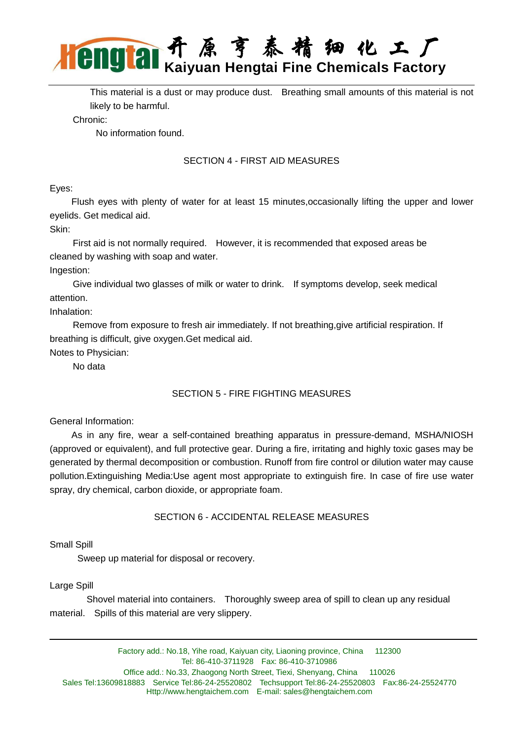

This material is a dust or may produce dust. Breathing small amounts of this material is not likely to be harmful.

Chronic:

No information found.

# SECTION 4 - FIRST AID MEASURES

#### Eyes:

 Flush eyes with plenty of water for at least 15 minutes,occasionally lifting the upper and lower eyelids. Get medical aid.

Skin:

 First aid is not normally required. However, it is recommended that exposed areas be cleaned by washing with soap and water.

Ingestion:

 Give individual two glasses of milk or water to drink. If symptoms develop, seek medical attention.

Inhalation:

 Remove from exposure to fresh air immediately. If not breathing,give artificial respiration. If breathing is difficult, give oxygen.Get medical aid.

Notes to Physician:

No data

# SECTION 5 - FIRE FIGHTING MEASURES

General Information:

 As in any fire, wear a self-contained breathing apparatus in pressure-demand, MSHA/NIOSH (approved or equivalent), and full protective gear. During a fire, irritating and highly toxic gases may be generated by thermal decomposition or combustion. Runoff from fire control or dilution water may cause pollution.Extinguishing Media:Use agent most appropriate to extinguish fire. In case of fire use water spray, dry chemical, carbon dioxide, or appropriate foam.

# SECTION 6 - ACCIDENTAL RELEASE MEASURES

Small Spill

Sweep up material for disposal or recovery.

Large Spill

 Shovel material into containers. Thoroughly sweep area of spill to clean up any residual material. Spills of this material are very slippery.

Factory add.: No.18, Yihe road, Kaiyuan city, Liaoning province, China 112300 Tel: 86-410-3711928 Fax: 86-410-3710986 Office add.: No.33, Zhaogong North Street, Tiexi, Shenyang, China 110026 Sales Tel:13609818883 Service Tel:86-24-25520802 Techsupport Tel:86-24-25520803 Fax:86-24-25524770 Http://www.hengtaichem.com E-mail: sales@hengtaichem.com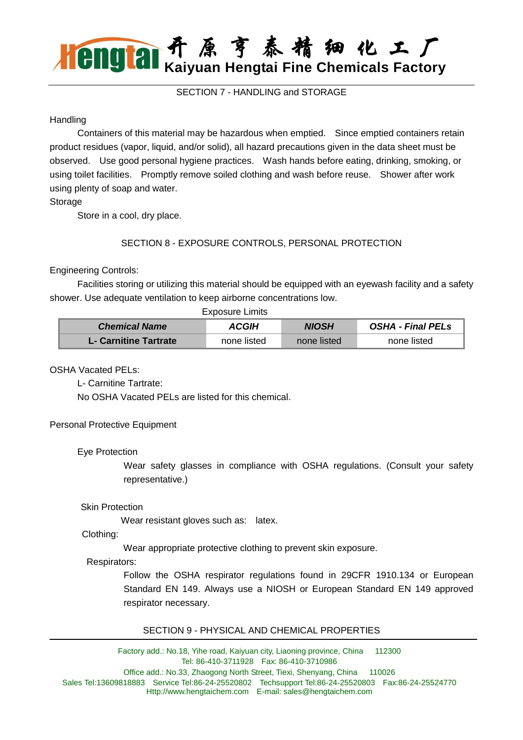# 开 原 亨 泰 精 细 化 工 厂 **Kaiyuan Hengtai Fine Chemicals Factory**

SECTION 7 - HANDLING and STORAGE

#### **Handling**

 Containers of this material may be hazardous when emptied. Since emptied containers retain product residues (vapor, liquid, and/or solid), all hazard precautions given in the data sheet must be observed. Use good personal hygiene practices. Wash hands before eating, drinking, smoking, or using toilet facilities. Promptly remove soiled clothing and wash before reuse. Shower after work using plenty of soap and water.

**Storage** 

Store in a cool, dry place.

# SECTION 8 - EXPOSURE CONTROLS, PERSONAL PROTECTION

# Engineering Controls:

 Facilities storing or utilizing this material should be equipped with an eyewash facility and a safety shower. Use adequate ventilation to keep airborne concentrations low.

|                       | Exposure Limits     |              |                          |  |
|-----------------------|---------------------|--------------|--------------------------|--|
| <b>Chemical Name</b>  | <i><b>ACGIH</b></i> | <b>NIOSH</b> | <b>OSHA - Final PELS</b> |  |
| L- Carnitine Tartrate | none listed         | none listed  | none listed              |  |

#### OSHA Vacated PELs:

L- Carnitine Tartrate:

No OSHA Vacated PELs are listed for this chemical.

#### Personal Protective Equipment

#### Eye Protection

Wear safety glasses in compliance with OSHA regulations. (Consult your safety representative.)

#### Skin Protection

Wear resistant gloves such as: latex.

#### Clothing:

Wear appropriate protective clothing to prevent skin exposure.

#### Respirators:

Follow the OSHA respirator regulations found in 29CFR 1910.134 or European Standard EN 149. Always use a NIOSH or European Standard EN 149 approved respirator necessary.

#### SECTION 9 - PHYSICAL AND CHEMICAL PROPERTIES

Factory add.: No.18, Yihe road, Kaiyuan city, Liaoning province, China 112300 Tel: 86-410-3711928 Fax: 86-410-3710986 Office add.: No.33, Zhaogong North Street, Tiexi, Shenyang, China 110026 Sales Tel:13609818883 Service Tel:86-24-25520802 Techsupport Tel:86-24-25520803 Fax:86-24-25524770 Http://www.hengtaichem.com E-mail: sales@hengtaichem.com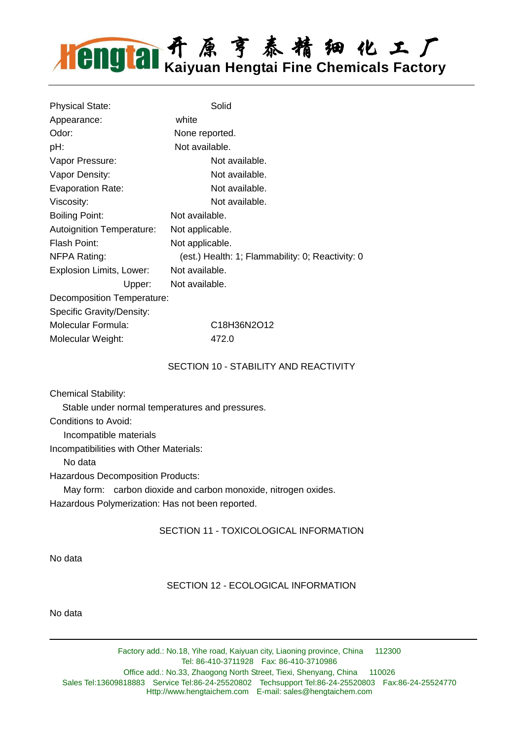# 开 原 亨 泰 精 细 化 工 厂 **Kaiyuan Hengtai Fine Chemicals Factory**

| <b>Physical State:</b>           | Solid                                            |  |  |
|----------------------------------|--------------------------------------------------|--|--|
| Appearance:                      | white                                            |  |  |
| Odor:                            | None reported.                                   |  |  |
| pH:                              | Not available.                                   |  |  |
| Vapor Pressure:                  | Not available.                                   |  |  |
| Vapor Density:                   | Not available.                                   |  |  |
| <b>Evaporation Rate:</b>         | Not available.                                   |  |  |
| Viscosity:                       | Not available.                                   |  |  |
| <b>Boiling Point:</b>            | Not available.                                   |  |  |
| <b>Autoignition Temperature:</b> | Not applicable.                                  |  |  |
| Flash Point:                     | Not applicable.                                  |  |  |
| NFPA Rating:                     | (est.) Health: 1; Flammability: 0; Reactivity: 0 |  |  |
| Explosion Limits, Lower:         | Not available.                                   |  |  |
| Upper:                           | Not available.                                   |  |  |
| Decomposition Temperature:       |                                                  |  |  |
| Specific Gravity/Density:        |                                                  |  |  |
| Molecular Formula:               | C18H36N2O12                                      |  |  |
| Molecular Weight:                | 472.0                                            |  |  |

#### SECTION 10 - STABILITY AND REACTIVITY

Chemical Stability:

Stable under normal temperatures and pressures.

Conditions to Avoid:

Incompatible materials

Incompatibilities with Other Materials:

No data

Hazardous Decomposition Products:

May form: carbon dioxide and carbon monoxide, nitrogen oxides.

Hazardous Polymerization: Has not been reported.

SECTION 11 - TOXICOLOGICAL INFORMATION

No data

#### SECTION 12 - ECOLOGICAL INFORMATION

No data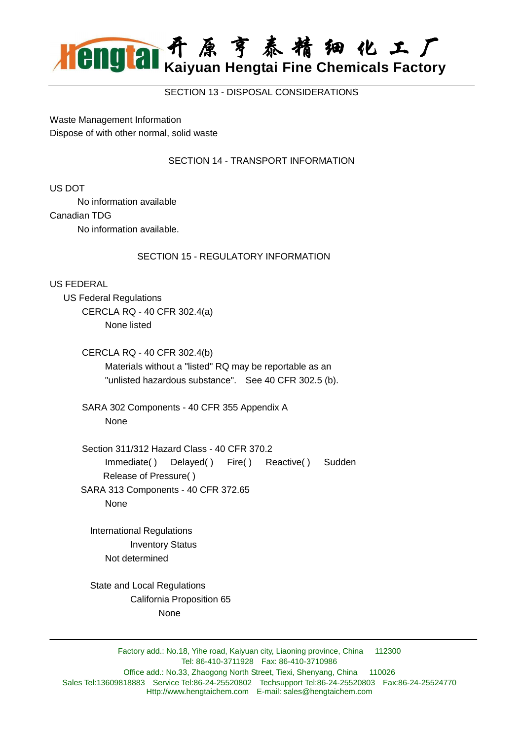

SECTION 13 - DISPOSAL CONSIDERATIONS

Waste Management Information Dispose of with other normal, solid waste

#### SECTION 14 - TRANSPORT INFORMATION

US DOT

No information available

Canadian TDG

No information available.

#### SECTION 15 - REGULATORY INFORMATION

US FEDERAL

 US Federal Regulations CERCLA RQ - 40 CFR 302.4(a) None listed

> CERCLA RQ - 40 CFR 302.4(b) Materials without a "listed" RQ may be reportable as an "unlisted hazardous substance". See 40 CFR 302.5 (b).

 SARA 302 Components - 40 CFR 355 Appendix A None

 Section 311/312 Hazard Class - 40 CFR 370.2 Immediate( ) Delayed( ) Fire( ) Reactive( ) Sudden Release of Pressure( ) SARA 313 Components - 40 CFR 372.65

None

 International Regulations Inventory Status Not determined

 State and Local Regulations California Proposition 65 None

Factory add.: No.18, Yihe road, Kaiyuan city, Liaoning province, China 112300 Tel: 86-410-3711928 Fax: 86-410-3710986 Office add.: No.33, Zhaogong North Street, Tiexi, Shenyang, China 110026 Sales Tel:13609818883 Service Tel:86-24-25520802 Techsupport Tel:86-24-25520803 Fax:86-24-25524770 Http://www.hengtaichem.com E-mail: sales@hengtaichem.com